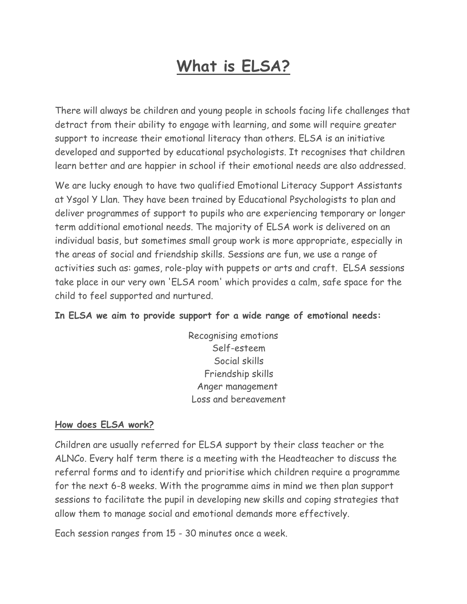## **What is ELSA?**

There will always be children and young people in schools facing life challenges that detract from their ability to engage with learning, and some will require greater support to increase their emotional literacy than others. ELSA is an initiative developed and supported by educational psychologists. It recognises that children learn better and are happier in school if their emotional needs are also addressed.

We are lucky enough to have two qualified Emotional Literacy Support Assistants at Ysgol Y Llan. They have been trained by Educational Psychologists to plan and deliver programmes of support to pupils who are experiencing temporary or longer term additional emotional needs. The majority of ELSA work is delivered on an individual basis, but sometimes small group work is more appropriate, especially in the areas of social and friendship skills. Sessions are fun, we use a range of activities such as: games, role-play with puppets or arts and craft. ELSA sessions take place in our very own 'ELSA room' which provides a calm, safe space for the child to feel supported and nurtured.

## **In ELSA we aim to provide support for a wide range of emotional needs:**

Recognising emotions Self-esteem Social skills Friendship skills Anger management Loss and bereavement

## **How does ELSA work?**

Children are usually referred for ELSA support by their class teacher or the ALNCo. Every half term there is a meeting with the Headteacher to discuss the referral forms and to identify and prioritise which children require a programme for the next 6-8 weeks. With the programme aims in mind we then plan support sessions to facilitate the pupil in developing new skills and coping strategies that allow them to manage social and emotional demands more effectively.

Each session ranges from 15 - 30 minutes once a week.